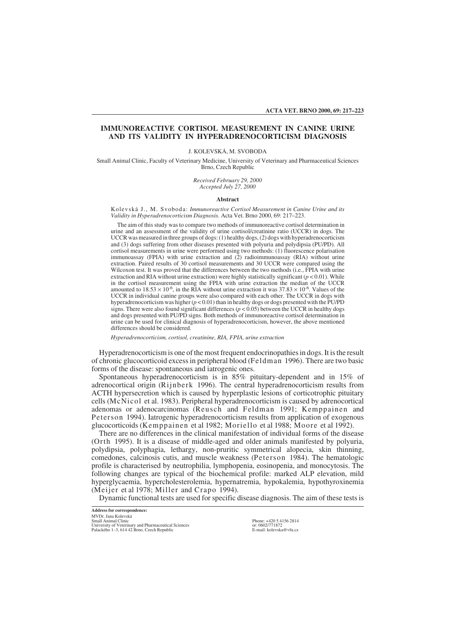**ACTA VET. BRNO 2000, 69: 217–223**

# **IMMUNOREACTIVE CORTISOL MEASUREMENT IN CANINE URINE AND ITS VALIDITY IN HYPERADRENOCORTICISM DIAGNOSIS**

J. KOLEVSKÁ, M. SVOBODA

Small Animal Clinic, Faculty of Veterinary Medicine, University of Veterinary and Pharmaceutical Sciences Brno, Czech Republic

> *Received February 29, 2000 Accepted July 27, 2000*

### **Abstract**

Kolevská J., M. Svoboda: *Immunoreactive Cortisol Measurement in Canine Urine and its Validity in Hyperadrenocorticism Diagnosis.* Acta Vet. Brno 2000, 69: 217–223.

The aim of this study was to compare two methods of immunoreactive cortisol determination in urine and an assessment of the validity of urine cortisol/creatinine ratio (UCCR) in dogs. The UCCR was measured in three groups of dogs: (1) healthy dogs, (2) dogs with hyperadrenocorticism and (3) dogs suffering from other diseases presented with polyuria and polydipsia (PU/PD). All cortisol measurements in urine were performed using two methods: (1) fluorescence polarisation immunoassay (FPIA) with urine extraction and (2) radioimmunoassay (RIA) without urine extraction. Paired results of 30 cortisol measurements and 30 UCCR were compared using the Wilcoxon test. It was proved that the differences between the two methods (i.e., FPIA with urine extraction and RIA without urine extraction) were highly statistically significant ( $p < 0.01$ ). While in the cortisol measurement using the FPIA with urine extraction the median of the UCCR amounted to  $18.53 \times 10^{-6}$ , in the RIA without urine extraction it was  $37.83 \times 10^{-6}$ . Values of the UCCR in individual canine groups were also compared with each other. The UCCR in dogs with hyperadrenocorticism was higher (*p* < 0.01) than in healthy dogs or dogs presented with the PU/PD signs. There were also found significant differences  $(p < 0.05)$  between the UCCR in healthy dogs and dogs presented with PU/PD signs. Both methods of immunoreactive cortisol determination in urine can be used for clinical diagnosis of hyperadrenocorticism, however, the above mentioned differences should be considered.

*Hyperadrenocorticism, cortisol, creatinine, RIA, FPIA, urine extraction*

Hyperadrenocorticism is one of the most frequent endocrinopathies in dogs. It is the result of chronic glucocorticoid excess in peripheral blood (Feldman 1996). There are two basic forms of the disease: spontaneous and iatrogenic ones.

Spontaneous hyperadrenocorticism is in 85% pituitary-dependent and in 15% of adrenocortical origin (Rijnberk 1996). The central hyperadrenocorticism results from ACTH hypersecretion which is caused by hyperplastic lesions of corticotrophic pituitary cells (McNicol et al. 1983). Peripheral hyperadrenocorticism is caused by adrenocortical adenomas or adenocarcinomas (Reusch and Feldman 1991; Kemppainen and Peterson 1994). Iatrogenic hyperadrenocorticism results from application of exogenous glucocorticoids (Kemppainen et al 1982; Moriello et al 1988; Moore et al 1992).

There are no differences in the clinical manifestation of individual forms of the disease (Orth 1995). It is a disease of middle-aged and older animals manifested by polyuria, polydipsia, polyphagia, lethargy, non-pruritic symmetrical alopecia, skin thinning, comedones, calcinosis cutis, and muscle weakness (Peterson 1984). The hematologic profile is characterised by neutrophilia, lymphopenia, eosinopenia, and monocytosis. The following changes are typical of the biochemical profile: marked ALP elevation, mild hyperglycaemia, hypercholesterolemia, hypernatremia, hypokalemia, hypothyroxinemia (Meijer et al 1978; Miller and Crapo 1994).

Dynamic functional tests are used for specific disease diagnosis. The aim of these tests is

**Address for correspondence:** MVDr. Jana Kolevská Small Animal Clinic University of Veterinary and Pharmaceutical Sciences Palackého 1–3, 614 42 Brno, Czech Republic

Phone: +420 5 4156 2814 or: 0602/771872 E-mail: kolevska@vfu.cz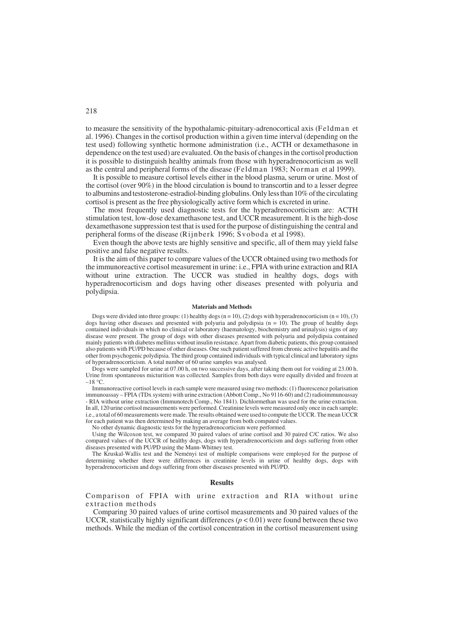to measure the sensitivity of the hypothalamic-pituitary-adrenocortical axis (Feldman et al. 1996). Changes in the cortisol production within a given time interval (depending on the test used) following synthetic hormone administration (i.e., ACTH or dexamethasone in dependence on the test used) are evaluated. On the basis of changes in the cortisol production it is possible to distinguish healthy animals from those with hyperadrenocorticism as well as the central and peripheral forms of the disease (Feldman 1983; Norman et al 1999).

It is possible to measure cortisol levels either in the blood plasma, serum or urine. Most of the cortisol (over 90%) in the blood circulation is bound to transcortin and to a lesser degree to albumins and testosterone-estradiol-binding globulins. Only less than 10% of the circulating cortisol is present as the free physiologically active form which is excreted in urine.

The most frequently used diagnostic tests for the hyperadrenocorticism are: ACTH stimulation test, low-dose dexamethasone test, and UCCR measurement. It is the high-dose dexamethasone suppression test that is used for the purpose of distinguishing the central and peripheral forms of the disease (Rijnberk 1996; Svoboda et al 1998).

Even though the above tests are highly sensitive and specific, all of them may yield false positive and false negative results.

It is the aim of this paper to compare values of the UCCR obtained using two methods for the immunoreactive cortisol measurement in urine: i.e., FPIA with urine extraction and RIA without urine extraction. The UCCR was studied in healthy dogs, dogs with hyperadrenocorticism and dogs having other diseases presented with polyuria and polydipsia.

## **Materials and Methods**

Dogs were divided into three groups: (1) healthy dogs ( $n = 10$ ), (2) dogs with hyperadrenocorticism ( $n = 10$ ), (3) dogs having other diseases and presented with polyuria and polydipsia  $(n = 10)$ . The group of healthy dogs contained individuals in which no clinical or laboratory (haematology, biochemistry and urinalysis) signs of any disease were present. The group of dogs with other diseases presented with polyuria and polydipsia contained mainly patients with diabetes mellitus without insulin resistance. Apart from diabetic patients, this group contained also patients with PU/PD because of other diseases. One such patient suffered from chronic active hepatitis and the other from psychogenic polydipsia. The third group contained individuals with typical clinical and laboratory signs of hyperadrenocorticism. A total number of 60 urine samples was analysed.

Dogs were sampled for urine at 07.00 h, on two successive days, after taking them out for voiding at 23.00 h. Urine from spontaneous micturition was collected. Samples from both days were equally divided and frozen at  $-18$  °C.

Immunoreactive cortisol levels in each sample were measured using two methods: (1) fluorescence polarisation immunoassay – FPIA (TDx system) with urine extraction (Abbott Comp., No 9116-60) and (2) radioimmunoassay - RIA without urine extraction (Immunotech Comp., No 1841). Dichlormethan was used for the urine extraction. In all, 120 urine cortisol measurements were performed. Creatinine levels were measured only once in each sample; i.e., a total of 60 measurements were made. The results obtained were used to compute the UCCR. The mean UCCR for each patient was then determined by making an average from both computed values.

No other dynamic diagnostic tests for the hyperadrenocorticism were performed.

Using the Wilcoxon test, we compared 30 paired values of urine cortisol and 30 paired C/C ratios. We also compared values of the UCCR of healthy dogs, dogs with hyperadrenocorticism and dogs suffering from other diseases presented with PU/PD using the Mann-Whitney test.

The Kruskal-Wallis test and the Neményi test of multiple comparisons were employed for the purpose of determining whether there were differences in creatinine levels in urine of healthy dogs, dogs with hyperadrenocorticism and dogs suffering from other diseases presented with PU/PD.

# **Results**

Comparison of FPIA with urine extraction and RIA without urine extraction methods

Comparing 30 paired values of urine cortisol measurements and 30 paired values of the UCCR, statistically highly significant differences  $(p < 0.01)$  were found between these two methods. While the median of the cortisol concentration in the cortisol measurement using

# 218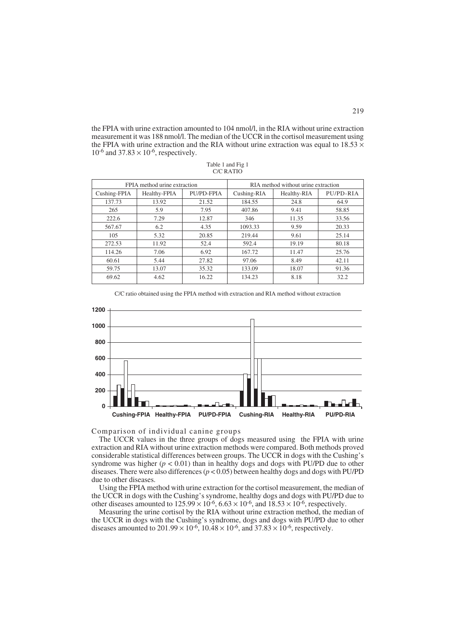the FPIA with urine extraction amounted to 104 nmol/l, in the RIA without urine extraction measurement it was 188 nmol/l. The median of the UCCR in the cortisol measurement using the FPIA with urine extraction and the RIA without urine extraction was equal to  $18.53 \times$  $10^{-6}$  and  $37.83 \times 10^{-6}$ , respectively.

| FPIA method urine extraction |              |            | RIA method without urine extraction |             |           |
|------------------------------|--------------|------------|-------------------------------------|-------------|-----------|
| Cushing-FPIA                 | Healthy-FPIA | PU/PD-FPIA | Cushing-RIA                         | Healthy-RIA | PU/PD-RIA |
| 137.73                       | 13.92        | 21.52      | 184.55                              | 24.8        | 64.9      |
| 265                          | 5.9          | 7.95       | 407.86                              | 9.41        | 58.85     |
| 222.6                        | 7.29         | 12.87      | 346                                 | 11.35       | 33.56     |
| 567.67                       | 6.2          | 4.35       | 1093.33                             | 9.59        | 20.33     |
| 105                          | 5.32         | 20.85      | 219.44                              | 9.61        | 25.14     |
| 272.53                       | 11.92        | 52.4       | 592.4                               | 19.19       | 80.18     |
| 114.26                       | 7.06         | 6.92       | 167.72                              | 11.47       | 25.76     |
| 60.61                        | 5.44         | 27.82      | 97.06                               | 8.49        | 42.11     |
| 59.75                        | 13.07        | 35.32      | 133.09                              | 18.07       | 91.36     |
| 69.62                        | 4.62         | 16.22      | 134.23                              | 8.18        | 32.2      |

| Table 1 and Fig 1 |  |  |  |  |  |  |  |
|-------------------|--|--|--|--|--|--|--|
| C/C RATIO         |  |  |  |  |  |  |  |

C/C ratio obtained using the FPIA method with extraction and RIA method without extraction



Comparison of individual canine groups

The UCCR values in the three groups of dogs measured using the FPIA with urine extraction and RIA without urine extraction methods were compared. Both methods proved considerable statistical differences between groups. The UCCR in dogs with the Cushing's syndrome was higher  $(p < 0.01)$  than in healthy dogs and dogs with PU/PD due to other diseases. There were also differences  $(p < 0.05)$  between healthy dogs and dogs with PU/PD due to other diseases.

Using the FPIA method with urine extraction for the cortisol measurement, the median of the UCCR in dogs with the Cushing's syndrome, healthy dogs and dogs with PU/PD due to other diseases amounted to  $125.99 \times 10^{-6}$ ,  $6.63 \times 10^{-6}$ , and  $18.53 \times 10^{-6}$ , respectively.

Measuring the urine cortisol by the RIA without urine extraction method, the median of the UCCR in dogs with the Cushing's syndrome, dogs and dogs with PU/PD due to other diseases amounted to  $201.99 \times 10^{-6}$ ,  $10.48 \times 10^{-6}$ , and  $37.83 \times 10^{-6}$ , respectively.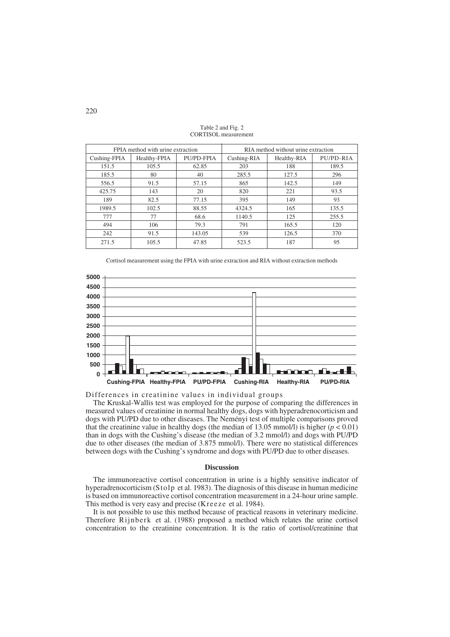| FPIA method with urine extraction |              |            | RIA method without urine extraction |             |           |
|-----------------------------------|--------------|------------|-------------------------------------|-------------|-----------|
| Cushing-FPIA                      | Healthy-FPIA | PU/PD-FPIA | Cushing-RIA                         | Healthy-RIA | PU/PD-RIA |
| 151.5                             | 105.5        | 62.85      | 203                                 | 188         | 189.5     |
| 185.5                             | 80           | 40         | 285.5                               | 127.5       | 296       |
| 556.5                             | 91.5         | 57.15      | 865                                 | 142.5       | 149       |
| 425.75                            | 143          | 20         | 820                                 | 221         | 93.5      |
| 189                               | 82.5         | 77.15      | 395                                 | 149         | 93        |
| 1989.5                            | 102.5        | 88.55      | 4324.5                              | 165         | 135.5     |
| 777                               | 77           | 68.6       | 1140.5                              | 125         | 255.5     |
| 494                               | 106          | 79.3       | 791                                 | 165.5       | 120       |
| 242                               | 91.5         | 143.05     | 539                                 | 126.5       | 370       |
| 271.5                             | 105.5        | 47.85      | 523.5                               | 187         | 95        |

Table 2 and Fig. 2 CORTISOL measurement

Cortisol measurement using the FPIA with urine extraction and RIA without extraction methods



Differences in creatinine values in individual groups

The Kruskal-Wallis test was employed for the purpose of comparing the differences in measured values of creatinine in normal healthy dogs, dogs with hyperadrenocorticism and dogs with PU/PD due to other diseases. The Neményi test of multiple comparisons proved that the creatinine value in healthy dogs (the median of 13.05 mmol/l) is higher ( $p < 0.01$ ) than in dogs with the Cushing's disease (the median of 3.2 mmol/l) and dogs with PU/PD due to other diseases (the median of 3.875 mmol/l). There were no statistical differences between dogs with the Cushing's syndrome and dogs with PU/PD due to other diseases.

# **Discussion**

The immunoreactive cortisol concentration in urine is a highly sensitive indicator of hyperadrenocorticism (Stolp et al. 1983). The diagnosis of this disease in human medicine is based on immunoreactive cortisol concentration measurement in a 24-hour urine sample. This method is very easy and precise (Kreeze et al. 1984).

It is not possible to use this method because of practical reasons in veterinary medicine. Therefore Rijnberk et al. (1988) proposed a method which relates the urine cortisol concentration to the creatinine concentration. It is the ratio of cortisol/creatinine that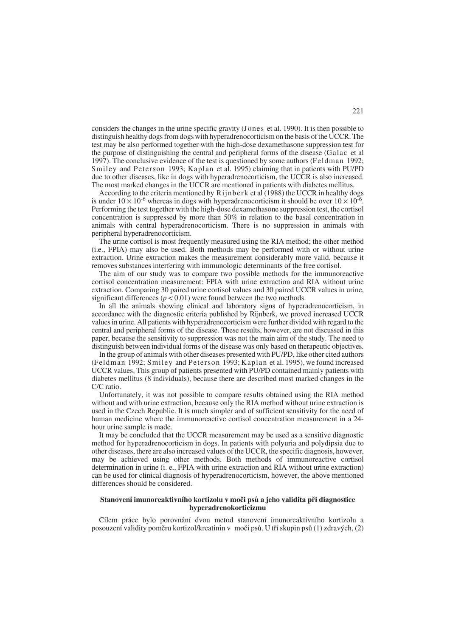considers the changes in the urine specific gravity (Jones et al. 1990). It is then possible to distinguish healthy dogs from dogs with hyperadrenocorticism on the basis of the UCCR. The test may be also performed together with the high-dose dexamethasone suppression test for the purpose of distinguishing the central and peripheral forms of the disease (Galac et al 1997). The conclusive evidence of the test is questioned by some authors (Feldman 1992; Smiley and Peterson 1993; Kaplan et al. 1995) claiming that in patients with PU/PD due to other diseases, like in dogs with hyperadrenocorticism, the UCCR is also increased. The most marked changes in the UCCR are mentioned in patients with diabetes mellitus.

According to the criteria mentioned by Rijnberk et al (1988) the UCCR in healthy dogs is under  $10 \times 10^{-6}$  whereas in dogs with hyperadrenocorticism it should be over  $10 \times 10^{-6}$ . Performing the test together with the high-dose dexamethasone suppression test, the cortisol concentration is suppressed by more than 50% in relation to the basal concentration in animals with central hyperadrenocorticism. There is no suppression in animals with peripheral hyperadrenocorticism.

The urine cortisol is most frequently measured using the RIA method; the other method (i.e., FPIA) may also be used. Both methods may be performed with or without urine extraction. Urine extraction makes the measurement considerably more valid, because it removes substances interfering with immunologic determinants of the free cortisol.

The aim of our study was to compare two possible methods for the immunoreactive cortisol concentration measurement: FPIA with urine extraction and RIA without urine extraction. Comparing 30 paired urine cortisol values and 30 paired UCCR values in urine, significant differences ( $p < 0.01$ ) were found between the two methods.

In all the animals showing clinical and laboratory signs of hyperadrenocorticism, in accordance with the diagnostic criteria published by Rijnberk, we proved increased UCCR values in urine. All patients with hyperadrenocorticism were further divided with regard to the central and peripheral forms of the disease. These results, however, are not discussed in this paper, because the sensitivity to suppression was not the main aim of the study. The need to distinguish between individual forms of the disease was only based on therapeutic objectives.

In the group of animals with other diseases presented with PU/PD, like other cited authors (Feldman 1992; Smiley and Peterson 1993; Kaplan et al. 1995), we found increased UCCR values. This group of patients presented with PU/PD contained mainly patients with diabetes mellitus (8 individuals), because there are described most marked changes in the C/C ratio.

Unfortunately, it was not possible to compare results obtained using the RIA method without and with urine extraction, because only the RIA method without urine extraction is used in the Czech Republic. It is much simpler and of sufficient sensitivity for the need of human medicine where the immunoreactive cortisol concentration measurement in a 24 hour urine sample is made.

It may be concluded that the UCCR measurement may be used as a sensitive diagnostic method for hyperadrenocorticism in dogs. In patients with polyuria and polydipsia due to other diseases, there are also increased values of the UCCR, the specific diagnosis, however, may be achieved using other methods. Both methods of immunoreactive cortisol determination in urine (i. e., FPIA with urine extraction and RIA without urine extraction) can be used for clinical diagnosis of hyperadrenocorticism, however, the above mentioned differences should be considered.

## Stanovení imunoreaktivního kortizolu v moči psů a jeho validita při diagnostice **hyperadrenokorticizmu**

Cílem práce bylo porovnání dvou metod stanovení imunoreaktivního kortizolu a posouzení validity poměru kortizol/kreatinin v moči psů. U tří skupin psů (1) zdravých, (2)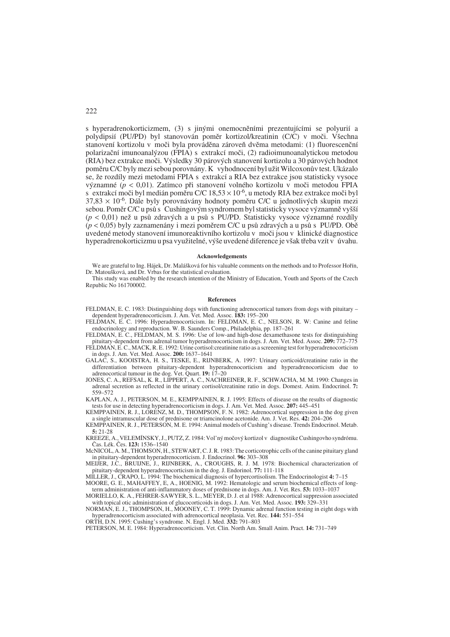s hyperadrenokorticizmem, (3) s jinými onemocněními prezentujícími se polyurií a polydipsií (PU/PD) byl stanovován poměr kortizol/kreatinin (C/C) v moči. Všechna stanovení kortizolu v moči byla prováděna zároveň dvěma metodami: (1) fluorescenční polarizaãní imunoanal˘zou (FPIA) s extrakcí moãi, (2) radioimunoanalytickou metodou (RIA) bez extrakce moãi. V˘sledky 30 párov˘ch stanovení kortizolu a 30 párov˘ch hodnot poměru C/C byly mezi sebou porovnány. K vyhodnocení byl užit Wilcoxonův test. Ukázalo se, že rozdíly mezi metodami FPIA s extrakcí a RIA bez extrakce jsou statisticky vysoce v˘znamné (*p* < 0,01). Zatímco pfii stanovení volného kortizolu v moãi metodou FPIA s extrakcí moči byl medián poměru C/C  $18,53 \times 10^{-6}$ , u metody RIA bez extrakce moči byl  $37,83 \times 10^{-6}$ . Dále byly porovnávány hodnoty poměru C/C u jednotlivých skupin mezi sebou. Poměr C/C u psů s Cushingovým syndromem byl statisticky vysoce významně vyšší ( $p$  < 0,01) než u psů zdravých a u psů s PU/PD. Statisticky vysoce významné rozdíly  $(p < 0.05)$  byly zaznamenány i mezi poměrem C/C u psů zdravých a u psů s PU/PD. Obě uvedené metody stanovení imunoreaktivního kortizolu v moãi jsou v klinické diagnostice hyperadrenokorticizmu u psa využitelné, výše uvedené diference je však třeba vzít v úvahu.

#### **Acknowledgements**

We are grateful to Ing. Hájek, Dr. Malášková for his valuable comments on the methods and to Professor Hořín, Dr. Matoušková, and Dr. Vrbas for the statistical evaluation.

This study was enabled by the research intention of the Ministry of Education, Youth and Sports of the Czech Republic No 161700002.

### **References**

- FELDMAN, E. C. 1983: Distinguishing dogs with functioning adrenocortical tumors from dogs with pituitary dependent hyperadrenocorticism. J. Am. Vet. Med. Assoc. **183:** 195–200
- FELDMAN, E. C. 1996: Hyperadrenocorticism. In: FELDMAN, E. C., NELSON, R. W: Canine and feline endocrinology and reproduction. W. B. Saunders Comp., Philadelphia, pp. 187–261
- FELDMAN, E. C., FELDMAN, M. S. 1996: Use of low-and high-dose dexamethasone tests for distinguishing pituitary-dependent from adrenal tumor hyperadrenocorticism in dogs. J. Am. Vet. Med. Assoc. **209:** 772–775 FELDMAN, E. C., MACK, R. E. 1992: Urine cortisol:creatinine ratio as a screeening test for hyperadrenocorticism
- in dogs. J. Am. Vet. Med. Assoc. **200:** 1637–1641 GALAC, S., KOOISTRA, H. S., TESKE, E., RIJNBERK, A. 1997: Urinary corticoid/creatinine ratio in the
- differentiation between pituitary-dependent hyperadrenocorticism and hyperadrenocorticism due to adrenocortical tumour in the dog. Vet. Quart. **19:** 17–20
- JONES, C. A., REFSAL, K. R., LIPPERT, A. C., NACHREINER, R. F., SCHWACHA, M. M. 1990: Changes in adrenal secretion as reflected in the urinary cortisol/creatinine ratio in dogs. Domest. Anim. Endocrinol. **7:** 559–572
- KAPLAN, A. J., PETERSON, M. E., KEMPPAINEN, R. J. 1995: Effects of disease on the results of diagnostic tests for use in detecting hyperadrenocorticism in dogs. J. Am. Vet. Med. Assoc. **207:** 445–451
- KEMPPAINEN, R. J., LORENZ, M. D., THOMPSON, F. N. 1982: Adrenocortical suppression in the dog given a single intramuscular dose of prednisone or triamcinolone acetonide. Am. J. Vet. Res. **42:** 204–206
- KEMPPAINEN, R. J., PETERSON, M. E. 1994: Animal models of Cushing's disease. Trends Endocrinol. Metab. **5:** 21-28
- KREEZE, A., VELEMÍNSKY, J., PUTZ, Z. 1984: Vol'ný močový kortizol v diagnostike Cushingovho syndrómu. âas. Lék. âes. **123:** 1536–1540
- McNICOL, A. M., THOMSON, H., STEWART, C. J. R. 1983: The corticotrophic cells of the canine pituitary gland in pituitary-dependent hyperadrenocorticism. J. Endocrinol. **96:** 303–308
- MEIJER, J.C., BRUIJNE, J., RIJNBERK, A., CROUGHS, R. J. M. 1978: Biochemical characterization of pituitary-dependent hyperadrenocorticism in the dog. J. Endorinol. **77:** 111-118
- MILLER, J., CRAPO, L. 1994: The biochemical diagnosis of hypercortisolism. The Endocrinologist **4:** 7–15 MOORE, G. E., MAHAFFEY, E, A., HOENIG, M. 1992: Hematologic and serum biochemical effects of long-
- term administration of anti-inflammatory doses of prednisone in dogs. Am. J. Vet. Res. **53:** 1033–1037 MORIELLO, K. A., FEHRER-SAWYER, S. L., MEYER, D. J. et al 1988: Adrenocortical suppression associated
- with topical otic administration of glucocorticoids in dogs. J. Am. Vet. Med. Assoc. **193:** 329–331 NORMAN, E. J., THOMPSON, H., MOONEY, C. T. 1999: Dynamic adrenal function testing in eight dogs with
- hyperadrenocorticism associated with adrenocortical neoplasia. Vet. Rec. **144:** 551–554 ORTH, D.N. 1995: Cushing's syndrome. N. Engl. J. Med. **332:** 791–803
- PETERSON, M. E. 1984: Hyperadrenocorticism. Vet. Clin. North Am. Small Anim. Pract. **14:** 731–749

222